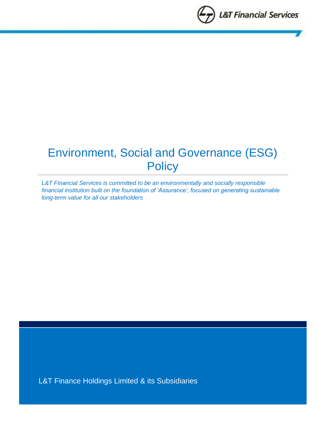

# Environment, Social and Governance (ESG) **Policy**

*L&T Financial Services is committed to be an environmentally and socially responsible financial institution built on the foundation of 'Assurance', focused on generating sustainable long-term value for all our stakeholders*

L&T Finance Holdings Limited & its Subsidiaries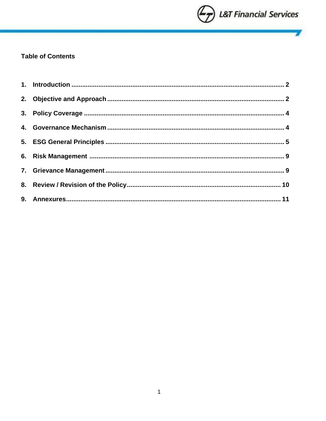

V

## **Table of Contents**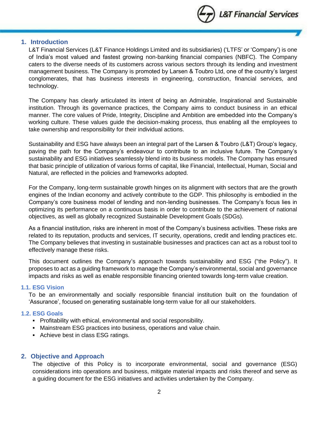

## <span id="page-2-0"></span>**1. Introduction**

L&T Financial Services (L&T Finance Holdings Limited and its subsidiaries) ('LTFS' or 'Company') is one of India's most valued and fastest growing non-banking financial companies (NBFC). The Company caters to the diverse needs of its customers across various sectors through its lending and investment management business. The Company is promoted by Larsen & Toubro Ltd, one of the country's largest conglomerates, that has business interests in engineering, construction, financial services, and technology.

The Company has clearly articulated its intent of being an Admirable, Inspirational and Sustainable institution. Through its governance practices, the Company aims to conduct business in an ethical manner. The core values of Pride, Integrity, Discipline and Ambition are embedded into the Company's working culture. These values guide the decision-making process, thus enabling all the employees to take ownership and responsibility for their individual actions.

Sustainability and ESG have always been an integral part of the Larsen & Toubro (L&T) Group's legacy, paving the path for the Company's endeavour to contribute to an inclusive future. The Company's sustainability and ESG initiatives seamlessly blend into its business models. The Company has ensured that basic principle of utilization of various forms of capital, like Financial, Intellectual, Human, Social and Natural, are reflected in the policies and frameworks adopted.

For the Company, long-term sustainable growth hinges on its alignment with sectors that are the growth engines of the Indian economy and actively contribute to the GDP. This philosophy is embodied in the Company's core business model of lending and non-lending businesses. The Company's focus lies in optimizing its performance on a continuous basis in order to contribute to the achievement of national objectives, as well as globally recognized Sustainable Development Goals (SDGs).

As a financial institution, risks are inherent in most of the Company's business activities. These risks are related to its reputation, products and services, IT security, operations, credit and lending practices etc. The Company believes that investing in sustainable businesses and practices can act as a robust tool to effectively manage these risks.

This document outlines the Company's approach towards sustainability and ESG ("the Policy"). It proposes to act as a guiding framework to manage the Company's environmental, social and governance impacts and risks as well as enable responsible financing oriented towards long-term value creation.

#### **1.1. ESG Vision**

To be an environmentally and socially responsible financial institution built on the foundation of 'Assurance', focused on generating sustainable long-term value for all our stakeholders.

#### **1.2. ESG Goals**

- Profitability with ethical, environmental and social responsibility.
- **Mainstream ESG practices into business, operations and value chain.**
- Achieve best in class ESG ratings.

#### <span id="page-2-1"></span>**2. Objective and Approach**

The objective of this Policy is to incorporate environmental, social and governance (ESG) considerations into operations and business, mitigate material impacts and risks thereof and serve as a guiding document for the ESG initiatives and activities undertaken by the Company.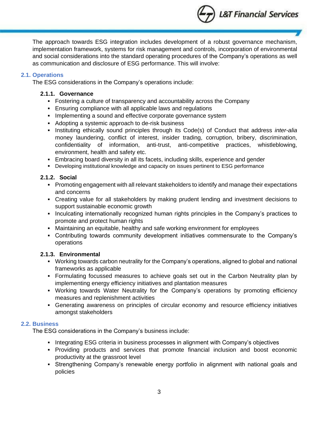

The approach towards ESG integration includes development of a robust governance mechanism, implementation framework, systems for risk management and controls, incorporation of environmental and social considerations into the standard operating procedures of the Company's operations as well as communication and disclosure of ESG performance. This will involve:

## **2.1. Operations**

The ESG considerations in the Company's operations include:

## **2.1.1. Governance**

- **•** Fostering a culture of transparency and accountability across the Company
- **Ensuring compliance with all applicable laws and regulations**
- **.** Implementing a sound and effective corporate governance system
- Adopting a systemic approach to de-risk business
- Instituting ethically sound principles through its Code(s) of Conduct that address *inter-alia* money laundering, conflict of interest, insider trading, corruption, bribery, discrimination, confidentiality of information, anti-trust, anti-competitive practices, whistleblowing, environment, health and safety etc.
- **Embracing board diversity in all its facets, including skills, experience and gender**
- **Developing institutional knowledge and capacity on issues pertinent to ESG performance**

## **2.1.2. Social**

- Promoting engagement with all relevant stakeholders to identify and manage their expectations and concerns
- Creating value for all stakeholders by making prudent lending and investment decisions to support sustainable economic growth
- Inculcating internationally recognized human rights principles in the Company's practices to promote and protect human rights
- Maintaining an equitable, healthy and safe working environment for employees
- Contributing towards community development initiatives commensurate to the Company's operations

## **2.1.3. Environmental**

- Working towards carbon neutrality for the Company's operations, aligned to global and national frameworks as applicable
- **•** Formulating focussed measures to achieve goals set out in the Carbon Neutrality plan by implementing energy efficiency initiatives and plantation measures
- Working towards Water Neutrality for the Company's operations by promoting efficiency measures and replenishment activities
- Generating awareness on principles of circular economy and resource efficiency initiatives amongst stakeholders

## **2.2. Business**

The ESG considerations in the Company's business include:

- **Integrating ESG criteria in business processes in alignment with Company's objectives**
- Providing products and services that promote financial inclusion and boost economic productivity at the grassroot level
- **•** Strengthening Company's renewable energy portfolio in alignment with national goals and policies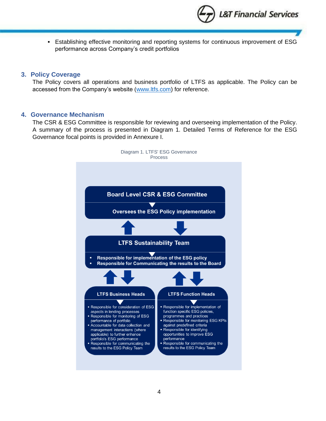

▪ Establishing effective monitoring and reporting systems for continuous improvement of ESG performance across Company's credit portfolios

## <span id="page-4-0"></span>**3. Policy Coverage**

The Policy covers all operations and business portfolio of LTFS as applicable. The Policy can be accessed from the Company's website [\(www.ltfs.com\)](http://www.ltfs.com/) for reference.

### <span id="page-4-1"></span>**4. Governance Mechanism**

The CSR & ESG Committee is responsible for reviewing and overseeing implementation of the Policy. A summary of the process is presented in Diagram 1. Detailed Terms of Reference for the ESG Governance focal points is provided in Annexure I.

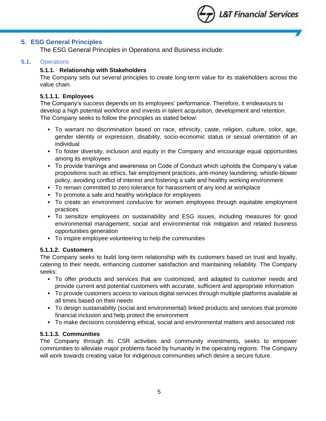

## <span id="page-5-0"></span>**5. ESG General Principles**

The ESG General Principles in Operations and Business include:

## **5.1.** Operations

## **5.1.1. Relationship with Stakeholders**

The Company sets out several principles to create long-term value for its stakeholders across the value chain.

## **5.1.1.1. Employees**

The Company's success depends on its employees' performance. Therefore, it endeavours to develop a high potential workforce and invests in talent acquisition, development and retention. The Company seeks to follow the principles as stated below:

- To warrant no discrimination based on race, ethnicity, caste, religion, culture, color, age, gender identity or expression, disability, socio-economic status or sexual orientation of an individual
- To foster diversity, inclusion and equity in the Company and encourage equal opportunities among its employees
- To provide trainings and awareness on Code of Conduct which upholds the Company's value propositions such as ethics, fair employment practices, anti-money laundering, whistle-blower policy, avoiding conflict of interest and fostering a safe and healthy working environment
- To remain committed to zero tolerance for harassment of any kind at workplace
- To promote a safe and healthy workplace for employees
- To create an environment conducive for women employees through equitable employment practices
- To sensitize employees on sustainability and ESG issues, including measures for good environmental management, social and environmental risk mitigation and related business opportunities generation
- To inspire employee volunteering to help the communities

#### **5.1.1.2. Customers**

The Company seeks to build long-term relationship with its customers based on trust and loyalty, catering to their needs, enhancing customer satisfaction and maintaining reliability. The Company seeks:

- To offer products and services that are customized, and adapted to customer needs and provide current and potential customers with accurate, sufficient and appropriate information
- To provide customers access to various digital services through multiple platforms available at all times based on their needs
- To design sustainability (social and environmental) linked products and services that promote financial inclusion and help protect the environment
- To make decisions considering ethical, social and environmental matters and associated risk

### **5.1.1.3. Communities**

The Company through its CSR activities and community investments, seeks to empower communities to alleviate major problems faced by humanity in the operating regions. The Company will work towards creating value for indigenous communities which desire a secure future.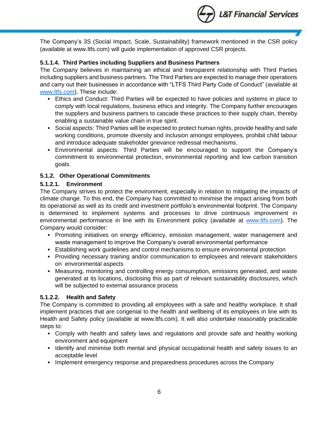

The Company's 3S (Social Impact, Scale, Sustainability) framework mentioned in the CSR policy (available at www.ltfs.com) will guide implementation of approved CSR projects.

## **5.1.1.4. Third Parties including Suppliers and Business Partners**

The Company believes in maintaining an ethical and transparent relationship with Third Parties including suppliers and business partners. The Third Parties are expected to manage their operations and carry out their businesses in accordance with "LTFS Third Party Code of Conduct" (available at [www.ltfs.com\)](http://www.ltfs.com/). These include:

- Ethics and Conduct: Third Parties will be expected to have policies and systems in place to comply with local regulations, business ethics and integrity. The Company further encourages the suppliers and business partners to cascade these practices to their supply chain, thereby enabling a sustainable value chain in true spirit.
- Social aspects: Third Parties will be expected to protect human rights, provide healthy and safe working conditions, promote diversity and inclusion amongst employees, prohibit child labour and introduce adequate stakeholder grievance redressal mechanisms.
- Environmental aspects: Third Parties will be encouraged to support the Company's commitment to environmental protection, environmental reporting and low carbon transition goals.

## **5.1.2. Other Operational Commitments**

## **5.1.2.1. Environment**

The Company strives to protect the environment, especially in relation to mitigating the impacts of climate change. To this end, the Company has committed to minimise the impact arising from both its operational as well as its credit and investment portfolio's environmental footprint. The Company is determined to implement systems and processes to drive continuous improvement in environmental performance in line with its Environment policy (available at [www.ltfs.com\)](http://www.ltfs.com/). The Company would consider:

- **Promoting initiatives on energy efficiency, emission management, water management and** waste management to improve the Company's overall environmental performance
- **Examblishing work guidelines and control mechanisms to ensure environmental protection**
- Providing necessary training and/or communication to employees and relevant stakeholders on environmental aspects
- Measuring, monitoring and controlling energy consumption, emissions generated, and waste generated at its locations, disclosing this as part of relevant sustainability disclosures, which will be subjected to external assurance process

## **5.1.2.2. Health and Safety**

The Company is committed to providing all employees with a safe and healthy workplace. It shall implement practices that are congenial to the health and wellbeing of its employees in line with its Health and Safety policy (available at www.ltfs.com). It will also undertake reasonably practicable steps to:

- Comply with health and safety laws and regulations and provide safe and healthy working environment and equipment
- **.** Identify and minimise both mental and physical occupational health and safety issues to an acceptable level
- **Implement emergency response and preparedness procedures across the Company**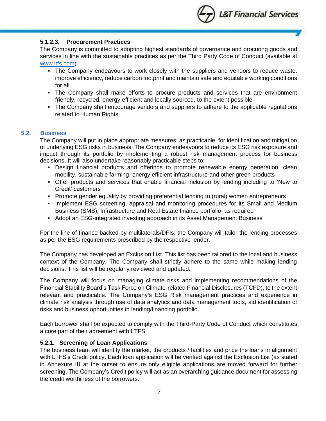

## **5.1.2.3. Procurement Practices**

The Company is committed to adopting highest standards of governance and procuring goods and services in line with the sustainable practices as per the Third Party Code of Conduct (available at [www.ltfs.com\)](http://www.ltfs.com/).

- **•** The Company endeavours to work closely with the suppliers and vendors to reduce waste, improve efficiency, reduce carbon footprint and maintain safe and equitable working conditions for all
- **•** The Company shall make efforts to procure products and services that are environment friendly, recycled, energy efficient and locally sourced, to the extent possible
- The Company shall encourage vendors and suppliers to adhere to the applicable regulations related to Human Rights

## **5.2. Business**

The Company will put in place appropriate measures, as practicable, for identification and mitigation of underlying ESG risks in business. The Company endeavours to reduce its ESG risk exposure and impact through its portfolio by implementing a robust risk management process for business decisions. It will also undertake reasonably practicable steps to:

- **•** Design financial products and offerings to promote renewable energy generation, clean mobility, sustainable farming, energy efficient infrastructure and other green products
- Offer products and services that enable financial inclusion by lending including to 'New to Credit' customers
- **•** Promote gender equality by providing preferential lending to (rural) women entrepreneurs
- **.** Implement ESG screening, appraisal and monitoring procedures for its Small and Medium Business (SMB), Infrastructure and Real Estate finance portfolio, as required
- Adopt an ESG-integrated investing approach in its Asset Management Business

For the line of finance backed by multilaterals/DFIs, the Company will tailor the lending processes as per the ESG requirements prescribed by the respective lender.

The Company has developed an Exclusion List. This list has been tailored to the local and business context of the Company. The Company shall strictly adhere to the same while making lending decisions. This list will be regularly reviewed and updated.

The Company will focus on managing climate risks and implementing recommendations of the Financial Stability Board's Task Force on Climate-related Financial Disclosures (TCFD), to the extent relevant and practicable. The Company's ESG Risk management practices and experience in climate risk analysis through use of data analytics and data management tools, aid identification of risks and business opportunities in lending/financing portfolio.

Each borrower shall be expected to comply with the Third-Party Code of Conduct which constitutes a core part of their agreement with LTFS.

#### **5.2.1. Screening of Loan Applications**

The business team will identify the market, the products / facilities and price the loans in alignment with LTFS's Credit policy. Each loan application will be verified against the Exclusion List (as stated in Annexure II*)* at the outset to ensure only eligible applications are moved forward for further screening. The Company's Credit policy will act as an overarching guidance document for assessing the credit worthiness of the borrowers.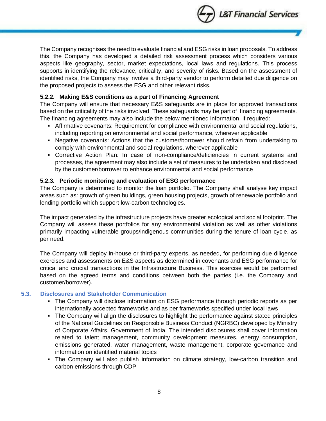

The Company recognises the need to evaluate financial and ESG risks in loan proposals. To address this, the Company has developed a detailed risk assessment process which considers various aspects like geography, sector, market expectations, local laws and regulations. This process supports in identifying the relevance, criticality, and severity of risks. Based on the assessment of identified risks, the Company may involve a third-party vendor to perform detailed due diligence on the proposed projects to assess the ESG and other relevant risks.

## **5.2.2. Making E&S conditions as a part of Financing Agreement**

The Company will ensure that necessary E&S safeguards are in place for approved transactions based on the criticality of the risks involved. These safeguards may be part of financing agreements*.*  The financing agreements may also include the below mentioned information, if required:

- **EXTENT Affirmative covenants: Requirement for compliance with environmental and social regulations,** including reporting on environmental and social performance, wherever applicable
- Negative covenants: Actions that the customer/borrower should refrain from undertaking to comply with environmental and social regulations, wherever applicable
- **•** Corrective Action Plan: In case of non-compliance/deficiencies in current systems and processes, the agreement may also include a set of measures to be undertaken and disclosed by the customer/borrower to enhance environmental and social performance

## **5.2.3. Periodic monitoring and evaluation of ESG performance**

The Company is determined to monitor the loan portfolio. The Company shall analyse key impact areas such as: growth of green buildings, green housing projects, growth of renewable portfolio and lending portfolio which support low-carbon technologies.

The impact generated by the infrastructure projects have greater ecological and social footprint. The Company will assess these portfolios for any environmental violation as well as other violations primarily impacting vulnerable groups/indigenous communities during the tenure of loan cycle, as per need.

The Company will deploy in-house or third-party experts, as needed, for performing due diligence exercises and assessments on E&S aspects as determined in covenants and ESG performance for critical and crucial transactions in the Infrastructure Business. This exercise would be performed based on the agreed terms and conditions between both the parties (i.e. the Company and customer/borrower).

## **5.3. Disclosures and Stakeholder Communication**

- **The Company will disclose information on ESG performance through periodic reports as per** internationally accepted frameworks and as per frameworks specified under local laws
- The Company will align the disclosures to highlight the performance against stated principles of the National Guidelines on Responsible Business Conduct (NGRBC) developed by Ministry of Corporate Affairs, Government of India. The intended disclosures shall cover information related to talent management, community development measures, energy consumption, emissions generated, water management, waste management, corporate governance and information on identified material topics
- The Company will also publish information on climate strategy, low-carbon transition and carbon emissions through CDP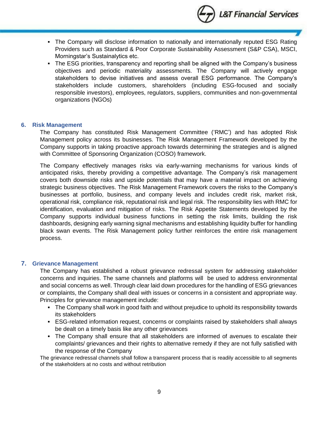

- **The Company will disclose information to nationally and internationally reputed ESG Rating** Providers such as Standard & Poor Corporate Sustainability Assessment (S&P CSA), MSCI, Morningstar's Sustainalytics etc.
- The ESG priorities, transparency and reporting shall be aligned with the Company's business objectives and periodic materiality assessments. The Company will actively engage stakeholders to devise initiatives and assess overall ESG performance. The Company's stakeholders include customers, shareholders (including ESG-focused and socially responsible investors), employees, regulators, suppliers, communities and non-governmental organizations (NGOs)

#### <span id="page-9-0"></span>**6. Risk Management**

The Company has constituted Risk Management Committee ('RMC') and has adopted Risk Management policy across its businesses. The Risk Management Framework developed by the Company supports in taking proactive approach towards determining the strategies and is aligned with Committee of Sponsoring Organization (COSO) framework.

The Company effectively manages risks via early-warning mechanisms for various kinds of anticipated risks, thereby providing a competitive advantage. The Company's risk management covers both downside risks and upside potentials that may have a material impact on achieving strategic business objectives. The Risk Management Framework covers the risks to the Company's businesses at portfolio, business, and company levels and includes credit risk, market risk, operational risk, compliance risk, reputational risk and legal risk. The responsibility lies with RMC for identification, evaluation and mitigation of risks. The Risk Appetite Statements developed by the Company supports individual business functions in setting the risk limits, building the risk dashboards, designing early warning signal mechanisms and establishing liquidity buffer for handling black swan events. The Risk Management policy further reinforces the entire risk management process.

#### <span id="page-9-1"></span>**7. Grievance Management**

The Company has established a robust grievance redressal system for addressing stakeholder concerns and inquiries. The same channels and platforms will be used to address environmental and social concerns as well. Through clear laid down procedures for the handling of ESG grievances or complaints, the Company shall deal with issues or concerns in a consistent and appropriate way. Principles for grievance management include:

- The Company shall work in good faith and without prejudice to uphold its responsibility towards its stakeholders
- **ESG-related information request, concerns or complaints raised by stakeholders shall always** be dealt on a timely basis like any other grievances
- **.** The Company shall ensure that all stakeholders are informed of avenues to escalate their complaints/ grievances and their rights to alternative remedy if they are not fully satisfied with the response of the Company

The grievance redressal channels shall follow a transparent process that is readily accessible to all segments of the stakeholders at no costs and without retribution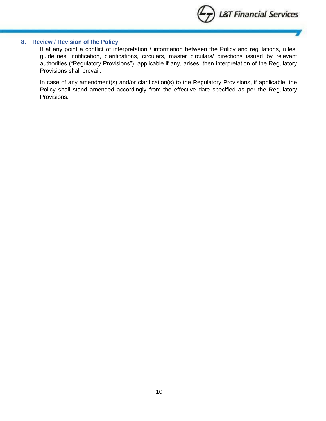

### <span id="page-10-0"></span>**8. Review / Revision of the Policy**

If at any point a conflict of interpretation / information between the Policy and regulations, rules, guidelines, notification, clarifications, circulars, master circulars/ directions issued by relevant authorities ("Regulatory Provisions"), applicable if any, arises, then interpretation of the Regulatory Provisions shall prevail.

In case of any amendment(s) and/or clarification(s) to the Regulatory Provisions, if applicable, the Policy shall stand amended accordingly from the effective date specified as per the Regulatory Provisions.